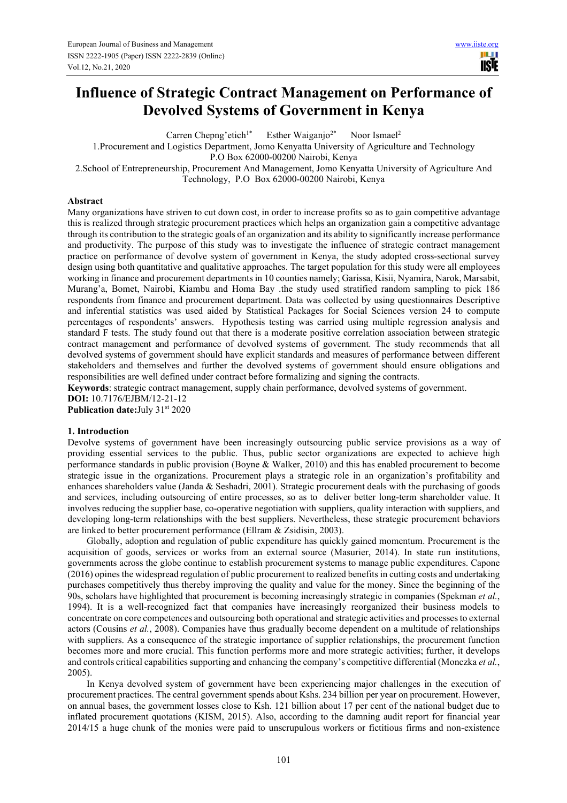# **Influence of Strategic Contract Management on Performance of Devolved Systems of Government in Kenya**

Carren Chepng'etich<sup>1\*</sup> Esther Waiganjo<sup>2\*</sup> Noor Ismael<sup>2</sup>

1.Procurement and Logistics Department, Jomo Kenyatta University of Agriculture and Technology

P.O Box 62000-00200 Nairobi, Kenya

2.School of Entrepreneurship, Procurement And Management, Jomo Kenyatta University of Agriculture And Technology, P.O Box 62000-00200 Nairobi, Kenya

# **Abstract**

Many organizations have striven to cut down cost, in order to increase profits so as to gain competitive advantage this is realized through strategic procurement practices which helps an organization gain a competitive advantage through its contribution to the strategic goals of an organization and its ability to significantly increase performance and productivity. The purpose of this study was to investigate the influence of strategic contract management practice on performance of devolve system of government in Kenya, the study adopted cross-sectional survey design using both quantitative and qualitative approaches. The target population for this study were all employees working in finance and procurement departments in 10 counties namely; Garissa, Kisii, Nyamira, Narok, Marsabit, Murang'a, Bomet, Nairobi, Kiambu and Homa Bay .the study used stratified random sampling to pick 186 respondents from finance and procurement department. Data was collected by using questionnaires Descriptive and inferential statistics was used aided by Statistical Packages for Social Sciences version 24 to compute percentages of respondents' answers. Hypothesis testing was carried using multiple regression analysis and standard F tests. The study found out that there is a moderate positive correlation association between strategic contract management and performance of devolved systems of government. The study recommends that all devolved systems of government should have explicit standards and measures of performance between different stakeholders and themselves and further the devolved systems of government should ensure obligations and responsibilities are well defined under contract before formalizing and signing the contracts.

**Keywords**: strategic contract management, supply chain performance, devolved systems of government. **DOI:** 10.7176/EJBM/12-21-12

**Publication date:**July 31<sup>st</sup> 2020

# **1. Introduction**

Devolve systems of government have been increasingly outsourcing public service provisions as a way of providing essential services to the public. Thus, public sector organizations are expected to achieve high performance standards in public provision (Boyne & Walker, 2010) and this has enabled procurement to become strategic issue in the organizations. Procurement plays a strategic role in an organization's profitability and enhances shareholders value (Janda & Seshadri, 2001). Strategic procurement deals with the purchasing of goods and services, including outsourcing of entire processes, so as to deliver better long-term shareholder value. It involves reducing the supplier base, co-operative negotiation with suppliers, quality interaction with suppliers, and developing long-term relationships with the best suppliers. Nevertheless, these strategic procurement behaviors are linked to better procurement performance (Ellram & Zsidisin, 2003).

Globally, adoption and regulation of public expenditure has quickly gained momentum. Procurement is the acquisition of goods, services or works from an external source (Masurier, 2014). In state run institutions, governments across the globe continue to establish procurement systems to manage public expenditures. Capone (2016) opines the widespread regulation of public procurement to realized benefits in cutting costs and undertaking purchases competitively thus thereby improving the quality and value for the money. Since the beginning of the 90s, scholars have highlighted that procurement is becoming increasingly strategic in companies (Spekman *et al.*, 1994). It is a well-recognized fact that companies have increasingly reorganized their business models to concentrate on core competences and outsourcing both operational and strategic activities and processes to external actors (Cousins *et al.*, 2008). Companies have thus gradually become dependent on a multitude of relationships with suppliers. As a consequence of the strategic importance of supplier relationships, the procurement function becomes more and more crucial. This function performs more and more strategic activities; further, it develops and controls critical capabilities supporting and enhancing the company's competitive differential (Monczka *et al.*, 2005).

In Kenya devolved system of government have been experiencing major challenges in the execution of procurement practices. The central government spends about Kshs. 234 billion per year on procurement. However, on annual bases, the government losses close to Ksh. 121 billion about 17 per cent of the national budget due to inflated procurement quotations (KISM, 2015). Also, according to the damning audit report for financial year 2014/15 a huge chunk of the monies were paid to unscrupulous workers or fictitious firms and non-existence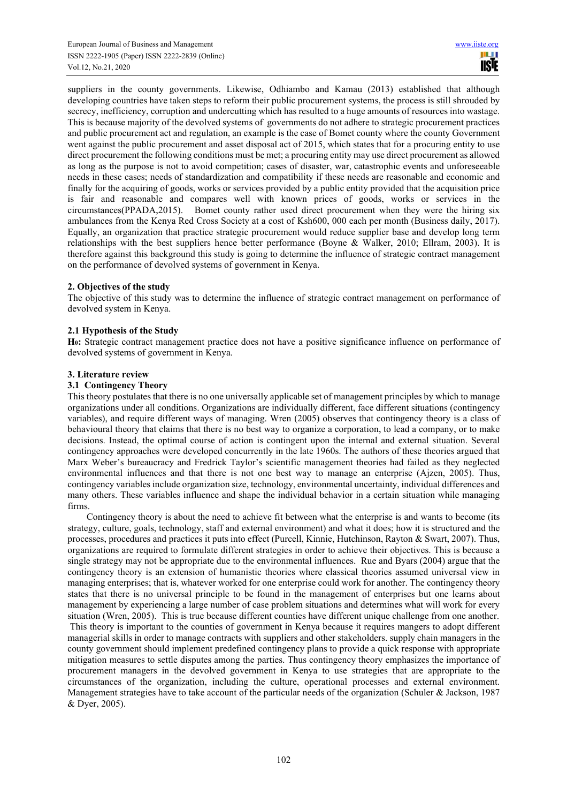suppliers in the county governments. Likewise, Odhiambo and Kamau (2013) established that although developing countries have taken steps to reform their public procurement systems, the process is still shrouded by secrecy, inefficiency, corruption and undercutting which has resulted to a huge amounts of resources into wastage. This is because majority of the devolved systems of governments do not adhere to strategic procurement practices and public procurement act and regulation, an example is the case of Bomet county where the county Government went against the public procurement and asset disposal act of 2015, which states that for a procuring entity to use direct procurement the following conditions must be met; a procuring entity may use direct procurement as allowed as long as the purpose is not to avoid competition; cases of disaster, war, catastrophic events and unforeseeable needs in these cases; needs of standardization and compatibility if these needs are reasonable and economic and finally for the acquiring of goods, works or services provided by a public entity provided that the acquisition price is fair and reasonable and compares well with known prices of goods, works or services in the circumstances(PPADA,2015). Bomet county rather used direct procurement when they were the hiring six ambulances from the Kenya Red Cross Society at a cost of Ksh600, 000 each per month (Business daily, 2017). Equally, an organization that practice strategic procurement would reduce supplier base and develop long term relationships with the best suppliers hence better performance (Boyne & Walker, 2010; Ellram, 2003). It is therefore against this background this study is going to determine the influence of strategic contract management on the performance of devolved systems of government in Kenya.

# **2. Objectives of the study**

The objective of this study was to determine the influence of strategic contract management on performance of devolved system in Kenya.

# **2.1 Hypothesis of the Study**

**H0:** Strategic contract management practice does not have a positive significance influence on performance of devolved systems of government in Kenya.

## **3. Literature review**

## **3.1 Contingency Theory**

This theory postulates that there is no one universally applicable set of management principles by which to manage organizations under all conditions. Organizations are individually different, face different situations (contingency variables), and require different ways of managing. Wren (2005) observes that contingency theory is a class of behavioural theory that claims that there is no best way to organize a corporation, to lead a company, or to make decisions. Instead, the optimal course of action is contingent upon the internal and external situation. Several contingency approaches were developed concurrently in the late 1960s. The authors of these theories argued that Marx Weber's bureaucracy and Fredrick Taylor's scientific management theories had failed as they neglected environmental influences and that there is not one best way to manage an enterprise (Ajzen, 2005). Thus, contingency variables include organization size, technology, environmental uncertainty, individual differences and many others. These variables influence and shape the individual behavior in a certain situation while managing firms.

Contingency theory is about the need to achieve fit between what the enterprise is and wants to become (its strategy, culture, goals, technology, staff and external environment) and what it does; how it is structured and the processes, procedures and practices it puts into effect (Purcell, Kinnie, Hutchinson, Rayton & Swart, 2007). Thus, organizations are required to formulate different strategies in order to achieve their objectives. This is because a single strategy may not be appropriate due to the environmental influences. Rue and Byars (2004) argue that the contingency theory is an extension of humanistic theories where classical theories assumed universal view in managing enterprises; that is, whatever worked for one enterprise could work for another. The contingency theory states that there is no universal principle to be found in the management of enterprises but one learns about management by experiencing a large number of case problem situations and determines what will work for every situation (Wren, 2005). This is true because different counties have different unique challenge from one another. This theory is important to the counties of government in Kenya because it requires mangers to adopt different managerial skills in order to manage contracts with suppliers and other stakeholders. supply chain managers in the county government should implement predefined contingency plans to provide a quick response with appropriate mitigation measures to settle disputes among the parties. Thus contingency theory emphasizes the importance of procurement managers in the devolved government in Kenya to use strategies that are appropriate to the circumstances of the organization, including the culture, operational processes and external environment. Management strategies have to take account of the particular needs of the organization (Schuler & Jackson, 1987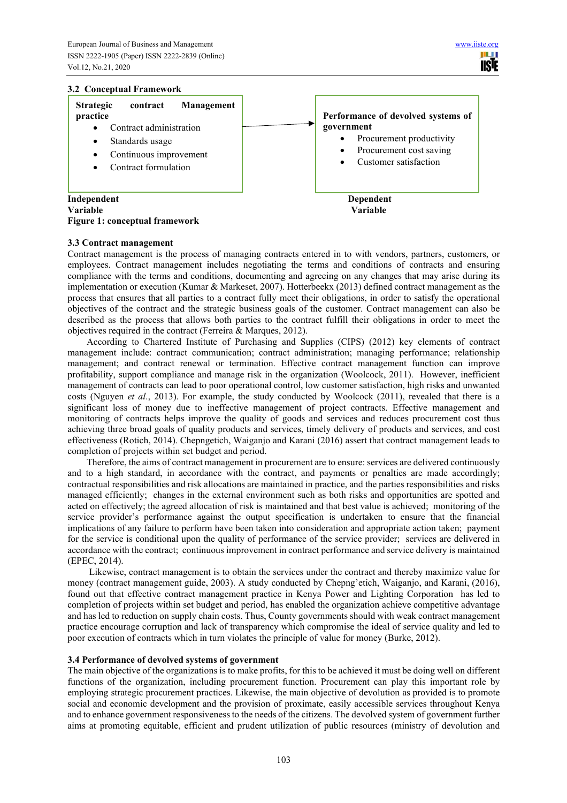## **3.2 Conceptual Framework**



## **3.3 Contract management**

Contract management is the process of managing contracts entered in to with vendors, partners, customers, or employees. Contract management includes negotiating the terms and conditions of contracts and ensuring compliance with the terms and conditions, documenting and agreeing on any changes that may arise during its implementation or execution (Kumar & Markeset, 2007). Hotterbeekx (2013) defined contract management as the process that ensures that all parties to a contract fully meet their obligations, in order to satisfy the operational objectives of the contract and the strategic business goals of the customer. Contract management can also be described as the process that allows both parties to the contract fulfill their obligations in order to meet the objectives required in the contract (Ferreira & Marques, 2012).

According to Chartered Institute of Purchasing and Supplies (CIPS) (2012) key elements of contract management include: contract communication; contract administration; managing performance; relationship management; and contract renewal or termination. Effective contract management function can improve profitability, support compliance and manage risk in the organization (Woolcock, 2011). However, inefficient management of contracts can lead to poor operational control, low customer satisfaction, high risks and unwanted costs (Nguyen *et al.*, 2013). For example, the study conducted by Woolcock (2011), revealed that there is a significant loss of money due to ineffective management of project contracts. Effective management and monitoring of contracts helps improve the quality of goods and services and reduces procurement cost thus achieving three broad goals of quality products and services, timely delivery of products and services, and cost effectiveness (Rotich, 2014). Chepngetich, Waiganjo and Karani (2016) assert that contract management leads to completion of projects within set budget and period.

Therefore, the aims of contract management in procurement are to ensure: services are delivered continuously and to a high standard, in accordance with the contract, and payments or penalties are made accordingly; contractual responsibilities and risk allocations are maintained in practice, and the parties responsibilities and risks managed efficiently; changes in the external environment such as both risks and opportunities are spotted and acted on effectively; the agreed allocation of risk is maintained and that best value is achieved; monitoring of the service provider's performance against the output specification is undertaken to ensure that the financial implications of any failure to perform have been taken into consideration and appropriate action taken; payment for the service is conditional upon the quality of performance of the service provider; services are delivered in accordance with the contract; continuous improvement in contract performance and service delivery is maintained (EPEC, 2014).

 Likewise, contract management is to obtain the services under the contract and thereby maximize value for money (contract management guide, 2003). A study conducted by Chepng'etich, Waiganjo, and Karani, (2016), found out that effective contract management practice in Kenya Power and Lighting Corporation has led to completion of projects within set budget and period, has enabled the organization achieve competitive advantage and has led to reduction on supply chain costs. Thus, County governments should with weak contract management practice encourage corruption and lack of transparency which compromise the ideal of service quality and led to poor execution of contracts which in turn violates the principle of value for money (Burke, 2012).

#### **3.4 Performance of devolved systems of government**

The main objective of the organizations is to make profits, for this to be achieved it must be doing well on different functions of the organization, including procurement function. Procurement can play this important role by employing strategic procurement practices. Likewise, the main objective of devolution as provided is to promote social and economic development and the provision of proximate, easily accessible services throughout Kenya and to enhance government responsiveness to the needs of the citizens. The devolved system of government further aims at promoting equitable, efficient and prudent utilization of public resources (ministry of devolution and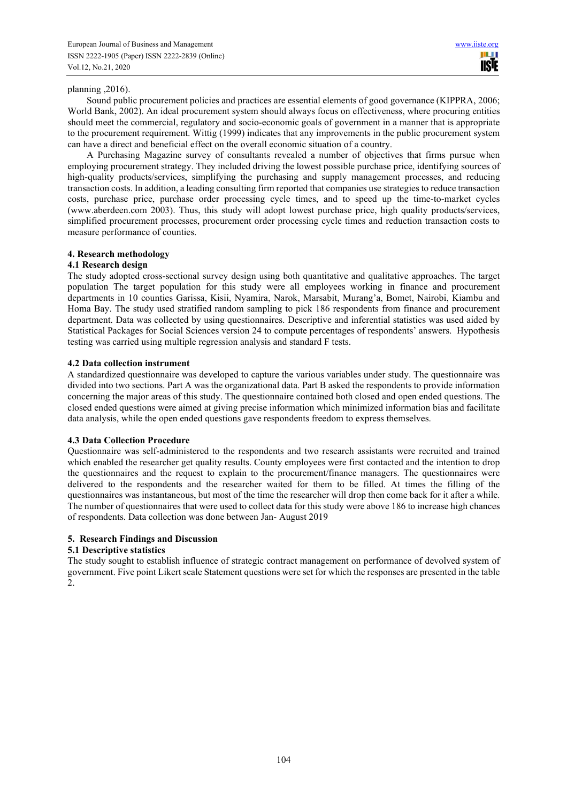## planning ,2016).

Sound public procurement policies and practices are essential elements of good governance (KIPPRA, 2006; World Bank, 2002). An ideal procurement system should always focus on effectiveness, where procuring entities should meet the commercial, regulatory and socio-economic goals of government in a manner that is appropriate to the procurement requirement. Wittig (1999) indicates that any improvements in the public procurement system can have a direct and beneficial effect on the overall economic situation of a country.

A Purchasing Magazine survey of consultants revealed a number of objectives that firms pursue when employing procurement strategy. They included driving the lowest possible purchase price, identifying sources of high-quality products/services, simplifying the purchasing and supply management processes, and reducing transaction costs. In addition, a leading consulting firm reported that companies use strategies to reduce transaction costs, purchase price, purchase order processing cycle times, and to speed up the time-to-market cycles (www.aberdeen.com 2003). Thus, this study will adopt lowest purchase price, high quality products/services, simplified procurement processes, procurement order processing cycle times and reduction transaction costs to measure performance of counties.

## **4. Research methodology**

## **4.1 Research design**

The study adopted cross-sectional survey design using both quantitative and qualitative approaches. The target population The target population for this study were all employees working in finance and procurement departments in 10 counties Garissa, Kisii, Nyamira, Narok, Marsabit, Murang'a, Bomet, Nairobi, Kiambu and Homa Bay. The study used stratified random sampling to pick 186 respondents from finance and procurement department. Data was collected by using questionnaires. Descriptive and inferential statistics was used aided by Statistical Packages for Social Sciences version 24 to compute percentages of respondents' answers. Hypothesis testing was carried using multiple regression analysis and standard F tests.

## **4.2 Data collection instrument**

A standardized questionnaire was developed to capture the various variables under study. The questionnaire was divided into two sections. Part A was the organizational data. Part B asked the respondents to provide information concerning the major areas of this study. The questionnaire contained both closed and open ended questions. The closed ended questions were aimed at giving precise information which minimized information bias and facilitate data analysis, while the open ended questions gave respondents freedom to express themselves.

#### **4.3 Data Collection Procedure**

Questionnaire was self-administered to the respondents and two research assistants were recruited and trained which enabled the researcher get quality results. County employees were first contacted and the intention to drop the questionnaires and the request to explain to the procurement/finance managers. The questionnaires were delivered to the respondents and the researcher waited for them to be filled. At times the filling of the questionnaires was instantaneous, but most of the time the researcher will drop then come back for it after a while. The number of questionnaires that were used to collect data for this study were above 186 to increase high chances of respondents. Data collection was done between Jan- August 2019

# **5. Research Findings and Discussion**

#### **5.1 Descriptive statistics**

The study sought to establish influence of strategic contract management on performance of devolved system of government. Five point Likert scale Statement questions were set for which the responses are presented in the table 2.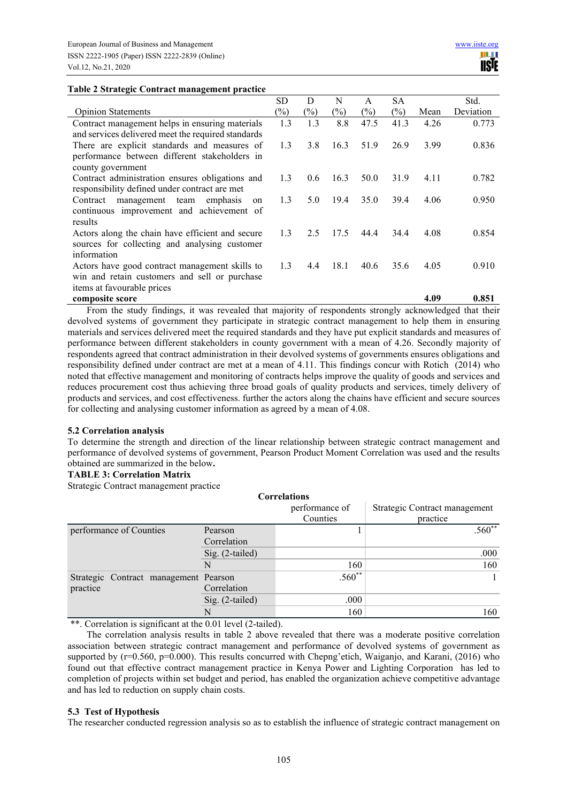### **Table 2 Strategic Contract management practice**

|                                                    | SD     | D             | N    | A      | <b>SA</b> |      | Std.      |
|----------------------------------------------------|--------|---------------|------|--------|-----------|------|-----------|
| <b>Opinion Statements</b>                          | $(\%)$ | (%)           | (%)  | $(\%)$ | $(\%)$    | Mean | Deviation |
| Contract management helps in ensuring materials    | 1.3    | 1.3           | 8.8  | 47.5   | 41.3      | 4.26 | 0.773     |
| and services delivered meet the required standards |        |               |      |        |           |      |           |
| There are explicit standards and measures of       | 1.3    | 3.8           | 16.3 | 51.9   | 26.9      | 3.99 | 0.836     |
| performance between different stakeholders in      |        |               |      |        |           |      |           |
| county government                                  |        |               |      |        |           |      |           |
| Contract administration ensures obligations and    | 1.3    | $0.6^{\circ}$ | 16.3 | 50.0   | 31.9      | 4.11 | 0.782     |
| responsibility defined under contract are met      |        |               |      |        |           |      |           |
| Contract management team<br>emphasis<br>on         | 1.3    | 5.0           | 19.4 | 35.0   | 39.4      | 4.06 | 0.950     |
| continuous improvement and achievement of          |        |               |      |        |           |      |           |
| results                                            |        |               |      |        |           |      |           |
| Actors along the chain have efficient and secure   | 1.3    | 2.5           | 17.5 | 44.4   | 34.4      | 4.08 | 0.854     |
| sources for collecting and analysing customer      |        |               |      |        |           |      |           |
| information                                        |        |               |      |        |           |      |           |
| Actors have good contract management skills to     | 1.3    | 4.4           | 18.1 | 40.6   | 35.6      | 4.05 | 0.910     |
| win and retain customers and sell or purchase      |        |               |      |        |           |      |           |
| items at favourable prices                         |        |               |      |        |           |      |           |
| composite score                                    |        |               |      |        |           | 4.09 | 0.851     |

From the study findings, it was revealed that majority of respondents strongly acknowledged that their devolved systems of government they participate in strategic contract management to help them in ensuring materials and services delivered meet the required standards and they have put explicit standards and measures of performance between different stakeholders in county government with a mean of 4.26. Secondly majority of respondents agreed that contract administration in their devolved systems of governments ensures obligations and responsibility defined under contract are met at a mean of 4.11. This findings concur with Rotich (2014) who noted that effective management and monitoring of contracts helps improve the quality of goods and services and reduces procurement cost thus achieving three broad goals of quality products and services, timely delivery of products and services, and cost effectiveness. further the actors along the chains have efficient and secure sources for collecting and analysing customer information as agreed by a mean of 4.08.

#### **5.2 Correlation analysis**

To determine the strength and direction of the linear relationship between strategic contract management and performance of devolved systems of government, Pearson Product Moment Correlation was used and the results obtained are summarized in the below**.** 

# **TABLE 3: Correlation Matrix**

Strategic Contract management practice

|                                       |                 | <b>Correlations</b> |                               |
|---------------------------------------|-----------------|---------------------|-------------------------------|
|                                       |                 | performance of      | Strategic Contract management |
|                                       |                 | Counties            | practice                      |
| performance of Counties               | Pearson         |                     | $.560**$                      |
|                                       | Correlation     |                     |                               |
|                                       | Sig. (2-tailed) |                     | .000                          |
|                                       | N               | 160                 | 160                           |
| Strategic Contract management Pearson |                 | $.560**$            |                               |
| practice                              | Correlation     |                     |                               |
|                                       | Sig. (2-tailed) | .000                |                               |
|                                       |                 | 160                 | 160                           |

\*\*. Correlation is significant at the 0.01 level (2-tailed).

The correlation analysis results in table 2 above revealed that there was a moderate positive correlation association between strategic contract management and performance of devolved systems of government as supported by (r=0.560, p=0.000). This results concurred with Chepng'etich, Waiganjo, and Karani, (2016) who found out that effective contract management practice in Kenya Power and Lighting Corporation has led to completion of projects within set budget and period, has enabled the organization achieve competitive advantage and has led to reduction on supply chain costs.

#### **5.3 Test of Hypothesis**

The researcher conducted regression analysis so as to establish the influence of strategic contract management on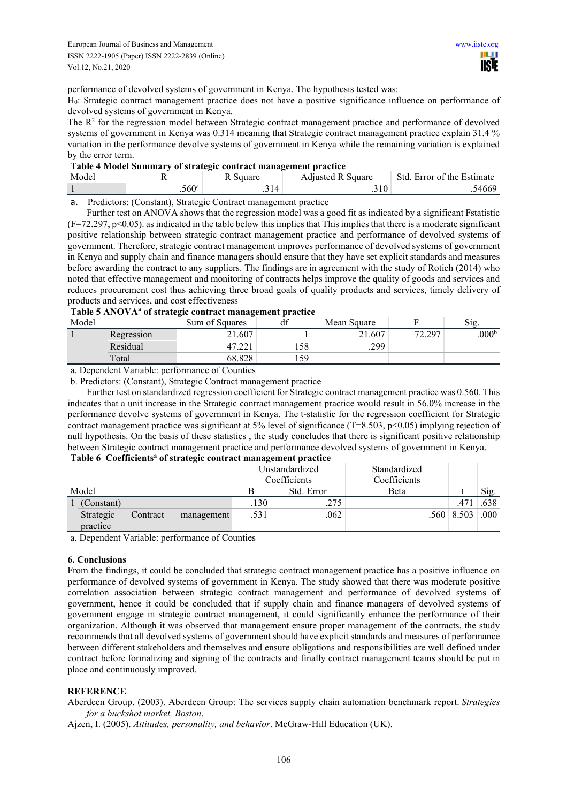performance of devolved systems of government in Kenya. The hypothesis tested was:

H0: Strategic contract management practice does not have a positive significance influence on performance of devolved systems of government in Kenya.

The  $R<sup>2</sup>$  for the regression model between Strategic contract management practice and performance of devolved systems of government in Kenya was 0.314 meaning that Strategic contract management practice explain 31.4 % variation in the performance devolve systems of government in Kenya while the remaining variation is explained by the error term.

| Table 4 Model Summary of strategic contract management practice |  |
|-----------------------------------------------------------------|--|
|                                                                 |  |

| Mode |                | $\sim$<br>$-20$<br> | $\sim$<br>.<br>square<br>Admisted | Std<br>$\overline{\phantom{0}}$<br>Estimate<br>the<br>Error of |
|------|----------------|---------------------|-----------------------------------|----------------------------------------------------------------|
|      | $.560^{\circ}$ | $\Lambda$<br>$-1$   | .510                              | $\sim$ $\sim$<br>-00.                                          |

a. Predictors: (Constant), Strategic Contract management practice

Further test on ANOVA shows that the regression model was a good fit as indicated by a significant Fstatistic  $(F=72.297, p<0.05)$ . as indicated in the table below this implies that This implies that there is a moderate significant positive relationship between strategic contract management practice and performance of devolved systems of government. Therefore, strategic contract management improves performance of devolved systems of government in Kenya and supply chain and finance managers should ensure that they have set explicit standards and measures before awarding the contract to any suppliers. The findings are in agreement with the study of Rotich (2014) who noted that effective management and monitoring of contracts helps improve the quality of goods and services and reduces procurement cost thus achieving three broad goals of quality products and services, timely delivery of products and services, and cost effectiveness

# **Table 5 ANOVA<sup>a</sup> of strategic contract management practice**

| Model |            | .<br>. .<br>Sum of Squares | $\sim$<br>uı | Mean Square | г                    | S12.              |
|-------|------------|----------------------------|--------------|-------------|----------------------|-------------------|
|       | Regression | 21.607                     |              | 21.607      | 72.207<br>$\sqrt{2}$ | .000 <sup>b</sup> |
|       | Residual   | 17<br>TI •∠∠ 1             | 158'         | .299        |                      |                   |
|       | Total      | 68.828                     | 159          |             |                      |                   |

a. Dependent Variable: performance of Counties

b. Predictors: (Constant), Strategic Contract management practice

Further test on standardized regression coefficient for Strategic contract management practice was 0.560. This indicates that a unit increase in the Strategic contract management practice would result in 56.0% increase in the performance devolve systems of government in Kenya. The t-statistic for the regression coefficient for Strategic contract management practice was significant at 5% level of significance (T=8.503, p<0.05) implying rejection of null hypothesis. On the basis of these statistics , the study concludes that there is significant positive relationship between Strategic contract management practice and performance devolved systems of government in Kenya.

#### **Table 6 Coefficients<sup>a</sup> of strategic contract management practice**

|       |                       |          |            |                   | Unstandardized<br>Coefficients | Standardized<br>Coefficients |                             |      |
|-------|-----------------------|----------|------------|-------------------|--------------------------------|------------------------------|-----------------------------|------|
| Model |                       |          | Std. Error | Beta              |                                | Sig.                         |                             |      |
|       | (Constant)            |          |            | .130 <sup>7</sup> | .275                           |                              | .47                         | .638 |
|       | Strategic<br>practice | Contract | management | .531              | .062                           |                              | $.560 \mid 8.503 \mid .000$ |      |

a. Dependent Variable: performance of Counties

#### **6. Conclusions**

From the findings, it could be concluded that strategic contract management practice has a positive influence on performance of devolved systems of government in Kenya. The study showed that there was moderate positive correlation association between strategic contract management and performance of devolved systems of government, hence it could be concluded that if supply chain and finance managers of devolved systems of government engage in strategic contract management, it could significantly enhance the performance of their organization. Although it was observed that management ensure proper management of the contracts, the study recommends that all devolved systems of government should have explicit standards and measures of performance between different stakeholders and themselves and ensure obligations and responsibilities are well defined under contract before formalizing and signing of the contracts and finally contract management teams should be put in place and continuously improved.

#### **REFERENCE**

Aberdeen Group. (2003). Aberdeen Group: The services supply chain automation benchmark report. *Strategies for a buckshot market, Boston*.

Ajzen, I. (2005). *Attitudes, personality, and behavior*. McGraw-Hill Education (UK).